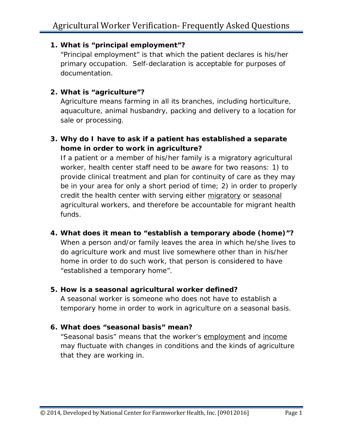## **1. What is "principal employment"?**

"Principal employment" is that which the patient declares is his/her primary occupation. Self-declaration is acceptable for purposes of documentation.

## **2. What is "agriculture"?**

Agriculture means farming in all its branches, including horticulture, aquaculture, animal husbandry, packing and delivery to a location for sale or processing.

# **3. Why do I have to ask if a patient has established a separate home in order to work in agriculture?**

If a patient or a member of his/her family is a migratory agricultural worker, health center staff need to be aware for two reasons: 1) to provide clinical treatment and plan for continuity of care as they may be in your area for only a short period of time; 2) in order to properly credit the health center with serving either migratory or seasonal agricultural workers, and therefore be accountable for migrant health funds.

# **4. What does it mean to "establish a temporary abode (home)"?** When a person and/or family leaves the area in which he/she lives to do agriculture work and must live somewhere other than in his/her home in order to do such work, that person is considered to have "established a temporary home".

#### **5. How is a seasonal agricultural worker defined?**

A seasonal worker is someone who does not have to establish a temporary home in order to work in agriculture on a seasonal basis.

#### **6. What does "seasonal basis" mean?**

"Seasonal basis" means that the worker's employment and income may fluctuate with changes in conditions and the kinds of agriculture that they are working in.